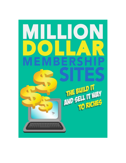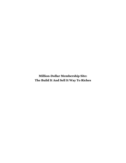**Million-Dollar Membership Site: The Build It And Sell It Way To Riches**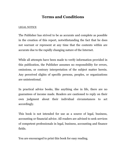### **Terms and Conditions**

#### LEGAL NOTICE

The Publisher has strived to be as accurate and complete as possible in the creation of this report, notwithstanding the fact that he does not warrant or represent at any time that the contents within are accurate due to the rapidly changing nature of the Internet.

While all attempts have been made to verify information provided in this publication, the Publisher assumes no responsibility for errors, omissions, or contrary interpretation of the subject matter herein. Any perceived slights of specific persons, peoples, or organizations are unintentional.

In practical advice books, like anything else in life, there are no guarantees of income made. Readers are cautioned to reply on their own judgment about their individual circumstances to act accordingly.

This book is not intended for use as a source of legal, business, accounting or financial advice. All readers are advised to seek services of competent professionals in legal, business, accounting and finance fields.

You are encouraged to print this book for easy reading.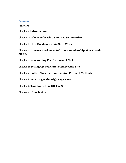#### **Contents**

Foreword

Chapter 1: **Introduction**

Chapter 2: **Why Membership Sites Are So Lucrative**

Chapter 3: **How Do Membership Sites Work**

Chapter 4: **Internet Marketers Sell Their Membership Sites For Big Money**

Chapter 5: **Researching For The Correct Niche**

Chapter 6: **Setting Up Your First Membership Site**

Chapter 7: **Putting Together Content And Payment Methods**

Chapter 8: **How To get The High Page Rank**

Chapter 9: **Tips For Selling Off The Site**

Chapter 10: **Conclusion**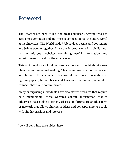## Foreword

The Internet has been called "the great equalizer". Anyone who has access to a computer and an Internet connection has the entire world at his fingertips. The World Wide Web bridges oceans and continents and brings people together. Since the Internet came into civilian use in the mid-90s, websites containing useful information and entertainment have draw the most views.

This rapid explosion of online presence has also brought about a new phenomenon: social networking. This technology is at both advanced and human. It is advanced because it transmits information at lightning speed; human because it harnesses the human potential to connect, share, and communicate.

Many enterprising individuals have also started websites that require paid membership; these websites contain information that is otherwise inaccessible to others. Discussion forums are another form of network that allows sharing of ideas and concepts among people with similar passions and interests.

We will delve into this subject here.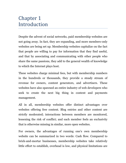## Chapter 1 Introduction

Despite the advent of social networks, paid membership websites are not going away. In fact, they are expanding, and more members-only websites are being set up. Membership websites capitalize on the fact that people are willing to pay for information that they find useful, and that by associating and communicating with other people who share the same passions, they add to the general wealth of knowledge to which the Internet plays host.

These websites charge minimal fees, but with membership numbers in the hundreds or thousands, they provide a steady stream of revenue for owners, content generators, and advertisers. These websites have also spawned an entire industry of web developers who seek to create the next big thing in content and payments management.

All in all, membership websites offer distinct advantages over websites offering free content. Blog entries and other content are strictly moderated; interactions between members are monitored, lessening the risk of conflict; and each member feels an exclusivity that is otherwise missing in similar, more open websites.

For owners, the advantages of running one's own membership website can be summarized in two words: Cash flow. Compared to brick-and-mortar businesses, membership websites take relatively little effort to establish, overhead is low, and physical limitations are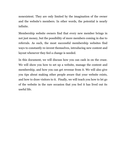nonexistent. They are only limited by the imagination of the owner and the website's members. In other words, the potential is nearly infinite.

Membership website owners find that every new member brings in not just money, but the possibility of more members coming in due to referrals. As such, the most successful membership websites find ways to constantly re-invent themselves, introducing new content and layout whenever they feel a change is needed.

In this document, we will discuss how you can cash in on the craze. We will show you how to set up a website, manage the content and membership, and how you can get revenue from it. We will also give you tips about making other people aware that your website exists, and how to draw visitors to it. Finally, we will teach you how to let go of the website in the rare occasion that you feel it has lived out its useful life.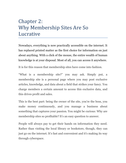### Chapter 2: Why Membership Sites Are So Lucrative

Nowadays, everything is now practically accessible on the internet. It has replaced printed matter as the first choice for information on just about anything. With a click of the mouse, the entire wealth of human knowledge is at your disposal. Most of all, you can access it anywhere.

It is for this reason that membership sites have come into fashion.

"What is a membership site?" you may ask. Simply put, a membership site is a personal page where you may post exclusive articles, knowledge, and data about a field that strikes your fancy. You charge members a certain amount to access this exclusive data, and this drives profit and sales.

This is the best part: being the owner of the site, you're the boss, you make money continuously, and you manage a business about something that captures your passion. You might be curious: Why are membership sites so profitable? It's an easy question to answer.

People will always pay to get their hands on information they need. Rather than visiting the local library or bookstore, though, they can just go on the internet. It's fast and convenient and it's making its way through cyberspace.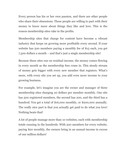Every person has his or her own passion, and there are other people who share their obsessions. These people are willing to part with their money to know more about things they like and love. This is the reason membership sites rake in the profits.

Membership sites that charge for content have become a vibrant industry that keeps on growing more profitable every second. If your website has 500 members paying a monthly fee of \$15 each, you get 7,500 dollars a month – and that's just a single membership site!

Because these sites run on residual income, the money comes flowing in every month as the membership fees come in. This steady stream of money gets bigger with every new member that registers. What's more, with every site you set up, you add even more income to your growing business.

For example, let's imagine you are the owner and manager of three membership sites charging 20 dollars per member monthly. One site has 500 registered members, the second has 200, and the third has a hundred. You get a total of \$16,000 monthly, or \$200,000 annually. The really nice part is that you actually get paid to do what you love! Nothing beats that!

A lot of people manage more than 10 websites, each with membership totals running in the hundreds. With 500 members for every website, paying \$20 monthly, the owners bring in an annual income in excess of one million dollars!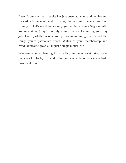Even if your membership site has just been launched and you haven't created a large membership roster, the residual income keeps on coming in. Let's say there are only 50 members paying \$25 a month. You're making  $$1,250$  monthly – and that's not counting your day job! That's just the income you get for maintaining a site about the things you're passionate about. Watch as your membership and residual income grow, all in just a single mouse-click.

Whatever you're planning to do with your membership site, we've made a set of tools, tips, and techniques available for aspiring website owners like you.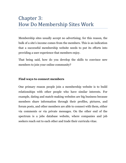## Chapter 3: How Do Membership Sites Work

Membership sites usually accept no advertising; for this reason, the bulk of a site's income comes from the members. This is an indication that a successful membership website needs to put its efforts into providing a user experience that members enjoy.

That being said, how do you develop the skills to convince new members to join your online community?

#### **Find ways to connect members**

One primary reason people join a membership website is to build relationships with other people who have similar interests. For example, dating and match-making websites are big business because members share information through their profiles, pictures, and forum posts, and other members are able to connect with them, either via comments or via private messages. On the other end of the spectrum is a jobs database website, where companies and job seekers reach out to each other and trade their curricula vitae.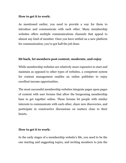#### **How to get it to work:**

As mentioned earlier, you need to provide a way for them to introduce and communicate with each other. Many membership websites offers multiple communications channels that appeal to almost any kind of member. Once you have settled on a new platform for communication, you've got half the job done.

#### **Sit back, let members post content, moderate, and enjoy**

While membership websites are relatively more expensive to start and maintain as opposed to other types of websites, a competent system for content management enables an online publisher to enjoy excellent income opportunities.

The most successful membership websites integrate pages upon pages of content with user forums that allow the burgeoning membership base to get together online. These forums let people with similar interests to communicate with each other, share new discoveries, and participate in constructive discussions on matters close to their hearts.

#### **How to get it to work:**

In the early stages of a membership website's life, you need to be the one starting and suggesting topics, and inviting members to join the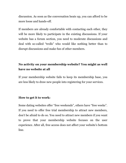discussion. As soon as the conversation heats up, you can afford to be more loose and hands-off.

If members are already comfortable with contacting each other, they will be more likely to participate in the existing discussions. If your website has a forum section, you need to moderate discussions and deal with so-called "trolls" who would like nothing better than to disrupt discussions and make fun of other members.

### **No activity on your membership website? You might as well have no website at all**

If your membership website fails to keep its membership base, you are less likely to draw new people into registering for your services.

#### **How to get it to work:**

Some dating websites offer "free weekends", others have "free weeks". If you need to offer free trial membership to attract new members, don't be afraid to do so. You need to attract new members if you want to prove that your membership website focuses on the user experience. After all, free access does not affect your website's bottom line.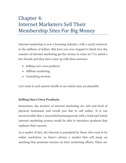# Chapter 4: Internet Marketers Sell Their Membership Sites For Big Money

Internet marketing is now a booming industry, with a yearly turnover in the millions of dollars. But have you ever stopped to think how the masters of internet marketing get the money to come in? I've asked a few friends and they have come up with these answers:

- Selling one's own products
- Affiliate marketing
- Consulting services

Let's look at each answer briefly to see which ones are plausible.

#### **Selling One's Own Products**

Sometimes, the masters of internet marketing are sick and tired of physical businesses and would just like to sell online. It is not inconceivable that a successful businessperson with a tried and tested internet marketing system would be able to introduce products that replicate their success.

As a matter of fact, the Internet is populated by those who want to be online marketers, so there's always a market that will jump on anything that promises success on their marketing efforts. There are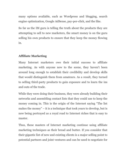many options available, such as Wordpress and blogging, search engine optimization, Google AdSense, pay-per-click, and the like.

So far as the IM guru is telling the truth about the products they are attempting to sell to new marketers, the smart money is on the guru selling his own products to ensure that they keep the money flowing in.

### **Affiliate Marketing**

Many Internet marketers owe their initial success to affiliate marketing. As with anyone new to the scene, they haven't been around long enough to establish their credibility and develop skills that would distinguish them from amateurs. As a result, they turned to selling third-party products to gain exposure and to learn the ins and outs of the trade.

While they were doing their business, they were already building their networks and assembling contact lists that they could use to keep the money coming in. This is the origin of the Internet saying "The list makes the money" – it is a technique that took years to develop, but is now being portrayed as a royal road to Internet riches that is easy to master.

Thus, these masters of Internet marketing continue using affiliate marketing techniques as their bread and butter. If you consider that their gigantic list of new and existing clients is a major selling point to potential partners and joint ventures and can be used to negotiate for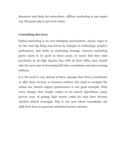discounts and deals for subscribers, affiliate marketing is one major way IM gurus take to get even richer.

#### **Consulting Services**

Online marketing is an ever-changing environment, always eager to try the next big thing and driven by changes in technology, people's preferences, and shifts in marketing strategy. Internet marketing gurus claim to be good in these areas, so much that they earn paychecks in six-digit figures; but with all their skills, they should take the next step to becoming full-time consultants and start earning millions.

It is the need to stay abreast of these changes that drives consultants to offer their services to business entities who need to navigate the online sea. Search engine optimization is one good example. With every change that Google makes to its search algorithms, many proven ways of getting high search ranks for sites have become obsolete almost overnight. This is one area where consultants can shift their focus to generate unlimited income streams.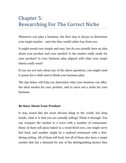# Chapter 5: Researching For The Correct Niche

Whenever you plan a business, the first step is always to determine your target market – and why they would rather buy from you.

It might sound very simple and easy, but do you actually have an idea about your product and your market? Is the market really ready for your product? Is your business plan aligned with what your target clients really want?

If you are not sure about any of the above questions, you might need to pause for a while and re-think your business plan.

The tips below will help you determine what your business can offer, the ideal market for your product, and to carve out a niche for your business.

#### **Be Sure About Your Product**

It may sound like the most obvious thing in the world, but deep inside, what is it that you are actually selling? Think it through. You can compare the market to a town with a number of restaurants. Some of them sell pizza baked in a wood-fired over, one might serve fast food, and another might be a seafood restaurant with a finedining setting. All of them sell food, but all of them also have a target market that has a demand for any of the distinguishing factors they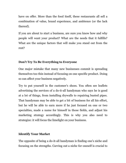have on offer. More than the food itself, these restaurants all sell a combination of value, brand experience, and ambience (or the lack thereof).

If you are about to start a business, are sure you know how and why people will want your product? What are the needs that it fulfills? What are the unique factors that will make you stand out from the rest?

### **Don't Try To Be Everything to Everyone**

One major mistake that many new businesses commit is spreading themselves too thin instead of focusing on one specific product. Doing so can affect your business negatively.

Try to put yourself in the customer's shoes. You often see leaflets advertising the services of a do-it-all handyman who says he is good at a lot of things, from installing drywalls to repairing busted pipes. That handyman may be able to get a bit of business for all his effort, but he will be able to earn more if he just focused on one or two specialties, made a name for himself in those fields, and adjust his marketing strategy accordingly. This is why you also need to strategize: it will focus the limelight on your business.

### **Identify Your Market**

The opposite of being a do-it-all handyman is finding one's niche and focusing on the strengths. Carving out a niche for oneself is crucial to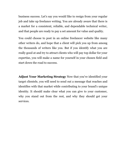business success. Let's say you would like to resign from your regular job and take up freelance writing. You are already aware that there is a market for a consistent, reliable, and dependable technical writer, and that people are ready to pay a set amount for value and quality.

You could choose to post in an online freelancer website like many other writers do, and hope that a client will pick you up from among the thousands of writers like you. But if you identify what you are really good at and try to attract clients who will pay top dollar for your expertise, you will make a name for yourself in your chosen field and start down the road to success.

**Adjust Your Marketing Strategy** Now that you've identified your target clientele, you will need to send out a message that reaches and identifies with that market while contributing to your brand's unique identity. It should make clear what you can give to your customer, why you stand out from the rest, and why they should get your services.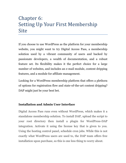## Chapter 6: Setting Up Your First Membership Site

If you choose to use WordPress as the platform for your membership website, you might want to try Digital Access Pass, a membership solution used by a vibrant community of users and backed by passionate developers, a wealth of documentation, and a robust feature set. Its flexibility makes it the perfect choice for a large number of websites, and includes an e-mail module, content dripping features, and a module for affiliate management.

Looking for a WordPress membership platform that offers a plethora of options for registration flow and state-of-the-art content dripping? DAP might just be your best bet.

### **Installation and Admin User Interface**

Digital Access Pass runs even without WordPress, which makes it a standalone membership solution. To install DAP, upload the script to your root directory then install a plugin for WordPress-DAP integration. Activate it using the license key that is given to you. Using the hosting control panel, schedule cron jobs. While this is not exactly what WordPress users are used to, the DAP team offers free installation upon purchase, so this is one less thing to worry about.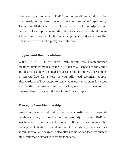Whenever you interact with DAP from the WordPress administration dashboard, you perform it using an iframe to root.com/dap/admin/. The admin UI does not resemble the native UI for Wordpress, and neither is it an improvement. Many developers are fussy about having a less-fussy UI for clients, but most people just need something that works, with or without a pretty user interface.

#### **Support and Documentation**

While DAP's UI might seem intimidating, the documentation included actually makes up for it. It tackles all aspects of the script, and has videos, how-tos, real-life cases, and a lot more. User support is offered free for a year; if you still need technical support afterwards, they'll be happy to renew your user agreement for added cost. Within the one-year support period, you may ask questions in the user forum, or raise a ticket with technical support.

#### **Managing Your Membership**

WordPress users and DAP members constitute two separate databases – they do not have mutual visibility. However, DAP can synchronize the two data collections. It offers the basic membership management features found in similar solutions, such as user administration and search. It also offers value-added features such as bulk import and export of membership data.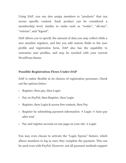Using DAP, you can also assign members to "products" that can access specific content. Each product can be considered a membership level, similar to ranks such as "rookie", "all-star", "veteran", and "legend".

DAP allows you to specify the amount of data you may collect while a new member registers, and lets you add custom fields to the user profile and registration form. DAP also has the capability to customize user profiles, and may be synched with your current WordPress theme.

### **Possible Registration Flows Under DAP**

DAP is rather flexible in its choices of registration processes. Check out the options below:

- Register, then pay, then Login
- Pay on PayPal, then Register, then Login
- Register, then Login & access free content, then Pay
- Register by submitting payment information  $\rightarrow$  Login  $\rightarrow$  Auto pay after trial
- Pay and register account on one page on your site  $\rightarrow$  Login

You may even choose to activate the "Login Xpress" feature, which allows members to log in once they complete the payment. This can be used even with PayPal. However, not all payment methods support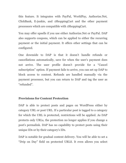this feature. It integrates with PayPal, WorldPay, Authorize.Net, ClickBank, E-junkie, and 1ShoppingCart and the other payment processors which are compatible with 1ShoppingCart.

You may offer upsells if you use either Authorize.Net or PayPal. DAP also supports coupons, which can be applied to either the recurring payment or the initial payment. It offers other settings that can be configured.

One downside to DAP is that it doesn't handle refunds or cancellations automatically, save for when the user's payment does not arrive. The user profile doesn't provide for a "Cancel subscription" option. If payment fails to arrive, you can set up DAP to block access to content. Refunds are handled manually via the payment processor, but you can return to DAP and tag the user as "refunded".

#### **Provisions for Content Protection**

DAP is able to protect posts and pages on WordPress either by category URL or post URL. If a particular post is tagged to a category for which the URL is protected, restrictions will be applied. As DAP protects only URLs, the protection no longer applies if you change a post's permalink. DAP has no capability to protect posts using their unique IDs or by their category's IDs.

DAP is notable for gradual content delivery. You will be able to set a "Drip on Day" field on protected URLS. It even allows you select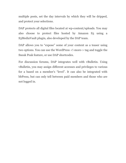multiple posts, set the day intervals by which they will be dripped, and protect your selections.

DAP protects all digital files located at wp-content/uploads. You may also choose to protect files hosted by Amazon S3 using a S3MediaVault plugin, also developed by the DAP team.

DAP allows you to "expose" some of your content as a teaser using two options. You can use the WordPress <!-more-> tag and toggle the Sneak Peak feature, or use DAP shortcodes.

For discussion forums, DAP integrates well with vBulletin. Using vBulletin, you may assign different accesses and privileges to various for a based on a member's "level". It can also be integrated with bbPress, but can only tell between paid members and those who are not logged in.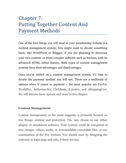## Chapter 7: Putting Together Content And Payment Methods

One of the first things you will need in your membership website is a content management system. You might want to choose something basic, like WordPress or Blogger, if you are planning to showcase your own content, or more complex software such as Socious, with its advanced HTML editor feature. Both types of content management systems have their advantages and disadvantages.

Once you've settled on a content management system, it's time to decide the payment method you will use. There are a multitude of options when it comes to payment – the most popular are PayPal, WorldPay, Authorize.Net, ClickBank, E-junkie, and 1ShoppingCart. We will discuss these options and more in this chapter.

#### **Content Management**

Content management, as the name suggests, is primarily focused on two things: content and protection. You may choose to use either plugins or standalone software. Your content could be composed of text, images, videos, audio, or downloadable executable files, or any combination of the five formats. You should start by designing the welcome or login page and tabs, if there are any.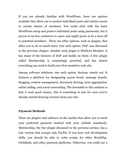If you are already familiar with WordPress, there are options available that allow you to protect individual posts and restrict access to certain classes of members. You could stick with the basic WordPress setup and protect individual posts using passwords, but it proves to be less conducive to users and might prove to be a turn-off to potential members. There are other options, such as plugins, that allow you to do so much more. One such option, DAP, was discussed in the previous chapter. Another such plugin is WishList Member; it has many of the features of DAP and builds on them. A free plugin called Membership is surprisingly powerful, and has almost everything you need to build your first members-only site.

Among software solutions, one such option, Socious, stands out. It features a platform for designating access levels, message boards, blogging, content management, document sharing, news aggregation, online selling, and social networking. The downside to this solution is that it costs good money; this is something to aim for once you've already started drawing revenue from your site.

#### **Payment Methods**

There are plugins and software on the market that allow you to mesh your preferred payment method with your website seamlessly. Membership, the free plugin discussed in the previous section, has a Lite version that accepts only PayPal. If you have web development skills, you should be able to write scripts for other WorldPay, ClickBank, and other payment platforms. Otherwise, you could use a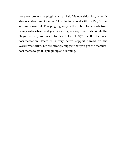more comprehensive plugin such as Paid Memberships Pro, which is also available free of charge. This plugin is good with PayPal, Stripe, and Authorize.Net. This plugin gives you the option to hide ads from paying subscribers, and you can also give away free trials. While the plugin is free, you need to pay a fee of \$97 for the technical documentation. There is a very active support thread on the WordPress forum, but we strongly suggest that you get the technical documents to get this plugin up and running.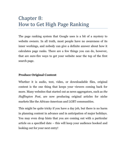## Chapter 8: How to Get High Page Ranking

The page ranking system that Google uses is a bit of a mystery to website owners. In all truth, most people have no awareness of its inner workings, and nobody can give a definite answer about how it calculates page ranks. There are a few things you can do, however, that are sure-fire ways to get your website near the top of the first search page.

#### **Produce Original Content**

Whether it is audio, text, video, or downloadable files, original content is the one thing that keeps your viewers coming back for more. Many websites that started out as news aggregators, such as *the Huffington Post*, are now producing original articles for niche markets like the African-American and LGBT communities.

This might be quite tricky if you have a day job, but there is no harm in planning content in advance and in anticipation of major holidays. You may even drop hints that you are coming out with a particular article on a specified date – this will keep your audience hooked and looking out for your next entry!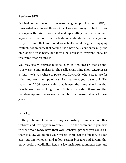#### **Perform SEO**

Original content benefits from search engine optimization or SEO, a time-tested way to get those clicks. However, many content writers struggle with this concept and end up stuffing their articles with keywords to the point that nobody understands the entry anymore. Keep in mind that your readers actually want original, engaging content, not an entry that sounds like a hard sell. Your entry might be on Google's first page, but it will be useless if everyone ends up frustrated after reading it.

You may use WordPress plugins, such as SEOPresser, that go into your website and analyze it. The really great thing about SEOPresser is that it tells you where to place your keywords, what size to use for titles, and even the type of graphics that affect your page rank. The makers of SEOPresserr claim that it uses the same algorithm that Google uses for ranking pages. It is no wonder, therefore, that membership website owners swear by SEOPresser after all these years.

#### **Link Up!**

Getting inbound links is as easy as posting comments on other websites and leaving your website's URL on the comment. If you have friends who already have their own websites, perhaps you could ask them to allow you to plug your website there. On the flipside, you can start out anonymously and follow certain bloggers and forums that enjoy positive credibility. Leave a few insightful comments here and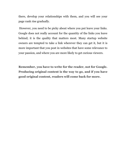there, develop your relationships with them, and you will see your page rank rise gradually.

However, you need to be picky about where you put leave your links. Google does not really account for the quantity of the links you leave behind; it is the quality that matters most. Many startup website owners are tempted to take a link wherever they can get it, but it is more important that you post in websites that have some relevance to your passion, and where you are more likely to get curious viewers.

**Remember, you have to write for the reader, not for Google. Producing original content is the way to go, and if you have good original content, readers will come back for more.**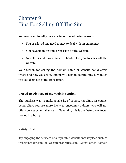# Chapter 9: Tips For Selling Off The Site

You may want to sell your website for the following reasons:

- You or a loved one need money to deal with an emergency;
- You have no more time or passion for the website;
- New laws and taxes make it harder for you to earn off the website.

Your reason for selling the domain name or website could affect where and how you sell it, and plays a part in determining how much you could get out of the transaction.

### **I Need to Dispose of my Website Quick**

The quickest way to make a sale is, of course, via eBay. Of course, being eBay, you are more likely to encounter bidders who will not offer you a substantial amount. Generally, this is the fastest way to get money in a hurry.

### **Safety First**

Try engaging the services of a reputable website marketplace such as websitebroker.com or websiteproperties.com. Many other domain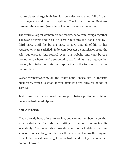marketplaces charge high fees for low sales, or are too full of spam that buyers avoid them altogether. Check their Better Business Bureau rating as well (websitebroker.com carries an A- rating).

The world's largest domain trade website, sedo.com, brings together sellers and buyers and works on escrow, meaning the cash is held by a third party until the buying party is sure that all of his or her requirements are satisfied. Sedo.com does get a commission from the sale, but ensures that control over your website and your buyer's money go to where they're supposed to go. It might not bring you fast money, but Sedo has a sterling reputation as the top domain name marketplace.

Websiteproperties.com, on the other hand, specializes in Internet businesses, which is good if you actually offer physical goods or services.

Just make sure that you read the fine print before putting up a listing on any website marketplace.

#### **Self-Advertise**

If you already have a loyal following, you can let members know that your website is for sale by putting a banner announcing its availability. You may also provide your contact details in case someone comes along and decides the investment is worth it. Again, it isn't the fastest way to get the website sold, but you can screen potential buyers.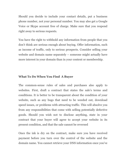Should you decide to include your contact details, put a business phone number, not your personal number. You may also get a Google Voice or Skype account free of charge. Make sure that you respond right away to serious requests.

You have the right to withhold any information from people that you don't think are serious enough about buying. Offer information, such as income of traffic, only to serious prospects. Consider selling your website and domain name separately – someone might actually have more interest in your domain than in your content or membership.

#### **What To Do When You Find A Buyer**

The common-sense rules of sales and purchases also apply to websites. First, draft a contract that states the sale's terms and conditions. It is better to be transparent about the condition of your website, such as any bugs that need to be weeded out, download speed issues, or problems with attracting traffic. This will absolve you from any responsibilities that come with selling potentially defective goods. Should you wish not to disclose anything, state in your contract that your buyer will agree to accept your website in its present condition, and that the sale cannot be reversed

Once the ink is dry on the contract, make sure you have received payment before you turn over the control of the website and the domain name. You cannot retrieve your DNS information once you've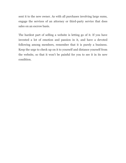sent it to the new owner. As with all purchases involving large sums, engage the services of an attorney or third-party service that does sales on an escrow basis.

The hardest part of selling a website is letting go of it. If you have invested a lot of emotion and passion in it, and have a devoted following among members, remember that it is purely a business. Keep the urge to check up on it to yourself and distance yourself from the website, so that it won't be painful for you to see it in its new condition.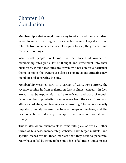## Chapter 10: Conclusion

Membership websites might seem easy to set up, and they are indeed easier to set up than regular, real-life businesses. They draw upon referrals from members and search engines to keep the growth – and revenue – coming in.

What most people don't know is that successful owners of membership sites put a lot of thought and investment into their businesses. While these sites are driven by a passion for a particular theme or topic, the owners are also passionate about attracting new members and generating income.

Membership websites earn in a variety of ways. For starters, the revenue coming in from registration fees is almost constant; in fact, growth may be exponential thanks to referrals and word of mouth. Other membership websites draw revenue from the sale of products, affiliate marketing, and teaching and consulting. The last is especially important, mainly because the Internet keeps on evolving, and the best consultants find a way to adapt to the times and flourish with change.

This is also where business skills come into play. As with all other forms of business, membership websites have target markets, and specific niches within those markets that they seek to penetrate. Many have failed by trying to become a jack of all trades and a master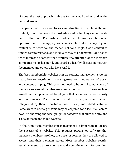of none; the best approach is always to start small and expand as the demand grows.

It appears that the secret to success also lies in people skills and content, things that even the most advanced technology cannot create out of thin air. For instance, while people use search engine optimization to drive up page ranks in search results, the key to good content is to write for the reader, not for Google. Good content is timely, easy to relate to, and is equally easy to understand. One has to write interesting content that captures the attention of the member, stimulates his or her mind, and sparks a healthy discussion between the member and others who have read it.

The best membership websites run on content management systems that allow for restrictions, news aggregation, moderation of posts, and content dripping. This does not need to be complicated: some of the more successful member websites run on basic platforms such as WordPress, supplemented by plugins that allow for better security and convenience. There are others who prefer platforms that are categorized by their robustness, ease of use, and added features. Some are free of charge; some may be acquired for a fee. It all comes down to choosing the ideal plugin or software that suits the size and scope of the membership website.

In the same vein, membership management is important to ensure the success of a website. This requires plugins or software that manages members' profiles, the posts or forums they are allowed to access, and their payment status. Most member websites restrict certain content to those who have paid a certain amount for premium